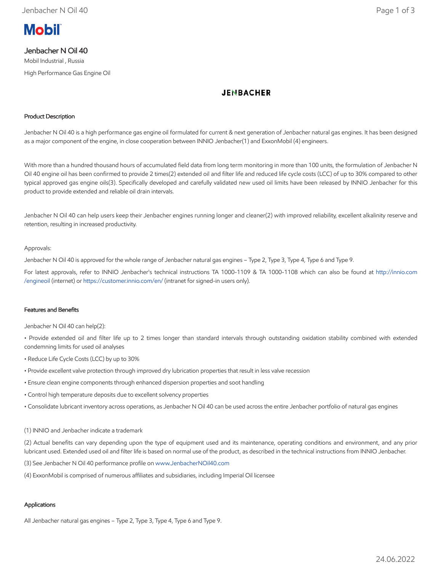

# Jenbacher N Oil 40

Mobil Industrial , Russia High Performance Gas Engine Oil

# **JENBACHER**

## Product Description

Jenbacher N Oil 40 is a high performance gas engine oil formulated for current & next generation of Jenbacher natural gas engines. It has been designed as a major component of the engine, in close cooperation between INNIO Jenbacher(1) and ExxonMobil (4) engineers.

With more than a hundred thousand hours of accumulated field data from long term monitoring in more than 100 units, the formulation of Jenbacher N Oil 40 engine oil has been confirmed to provide 2 times(2) extended oil and filter life and reduced life cycle costs (LCC) of up to 30% compared to other typical approved gas engine oils(3). Specifically developed and carefully validated new used oil limits have been released by INNIO Jenbacher for this product to provide extended and reliable oil drain intervals.

Jenbacher N Oil 40 can help users keep their Jenbacher engines running longer and cleaner(2) with improved reliability, excellent alkalinity reserve and retention, resulting in increased productivity.

## Approvals:

Jenbacher N Oil 40 is approved for the whole range of Jenbacher natural gas engines – Type 2, Type 3, Type 4, Type 6 and Type 9.

For latest approvals, refer to INNIO Jenbacher's technical instructions TA 1000-1109 & TA 1000-1108 which can also be found at [http://innio.com](http://innio.com/engineoil) /engineoil (internet) or [https://customer.innio.com/en/ \(](https://customer.innio.com/en/)intranet for signed-in users only).

## Features and Benefits

Jenbacher N Oil 40 can help(2):

• Provide extended oil and filter life up to 2 times longer than standard intervals through outstanding oxidation stability combined with extended condemning limits for used oil analyses

- Reduce Life Cycle Costs (LCC) by up to 30%
- Provide excellent valve protection through improved dry lubrication properties that result in less valve recession
- Ensure clean engine components through enhanced dispersion properties and soot handling
- Control high temperature deposits due to excellent solvency properties
- Consolidate lubricant inventory across operations, as Jenbacher N Oil 40 can be used across the entire Jenbacher portfolio of natural gas engines

### (1) INNIO and Jenbacher indicate a trademark

(2) Actual benefits can vary depending upon the type of equipment used and its maintenance, operating conditions and environment, and any prior lubricant used. Extended used oil and filter life is based on normal use of the product, as described in the technical instructions from INNIO Jenbacher.

(3) See Jenbacher N Oil 40 performance profile on [www.JenbacherNOil40.com](http://www.jenbachernoil40.com/)

(4) ExxonMobil is comprised of numerous affiliates and subsidiaries, including Imperial Oil licensee

## Applications

All Jenbacher natural gas engines – Type 2, Type 3, Type 4, Type 6 and Type 9.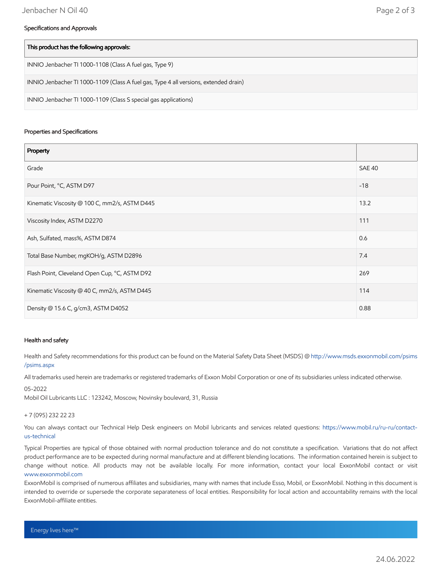### Specifications and Approvals

| This product has the following approvals:                                            |
|--------------------------------------------------------------------------------------|
| INNIO Jenbacher TI 1000-1108 (Class A fuel gas, Type 9)                              |
| INNIO Jenbacher TI 1000-1109 (Class A fuel gas, Type 4 all versions, extended drain) |
| INNIO Jenbacher TI 1000-1109 (Class S special gas applications)                      |

### Properties and Specifications

| Property                                      |               |
|-----------------------------------------------|---------------|
| Grade                                         | <b>SAE 40</b> |
| Pour Point, °C, ASTM D97                      | $-18$         |
| Kinematic Viscosity @ 100 C, mm2/s, ASTM D445 | 13.2          |
| Viscosity Index, ASTM D2270                   | 111           |
| Ash, Sulfated, mass%, ASTM D874               | 0.6           |
| Total Base Number, mgKOH/g, ASTM D2896        | 7.4           |
| Flash Point, Cleveland Open Cup, °C, ASTM D92 | 269           |
| Kinematic Viscosity @ 40 C, mm2/s, ASTM D445  | 114           |
| Density @ 15.6 C, g/cm3, ASTM D4052           | 0.88          |

### Health and safety

Health and Safety recommendations for this product can be found on the Material Safety Data Sheet (MSDS) @ [http://www.msds.exxonmobil.com/psims](http://www.msds.exxonmobil.com/psims/psims.aspx) /psims.aspx

All trademarks used herein are trademarks or registered trademarks of Exxon Mobil Corporation or one of its subsidiaries unless indicated otherwise.

#### 05-2022

Mobil Oil Lubricants LLC : 123242, Moscow, Novinsky boulevard, 31, Russia

#### + 7 (095) 232 22 23

[You can always contact our Technical Help Desk engineers on Mobil lubricants and services related questions: https://www.mobil.ru/ru-ru/contact](https://www.mobil.ru/ru-ru/contact-us-technical)us-technical

Typical Properties are typical of those obtained with normal production tolerance and do not constitute a specification. Variations that do not affect product performance are to be expected during normal manufacture and at different blending locations. The information contained herein is subject to change without notice. All products may not be available locally. For more information, contact your local ExxonMobil contact or visit [www.exxonmobil.com](http://www.exxonmobil.com/)

ExxonMobil is comprised of numerous affiliates and subsidiaries, many with names that include Esso, Mobil, or ExxonMobil. Nothing in this document is intended to override or supersede the corporate separateness of local entities. Responsibility for local action and accountability remains with the local ExxonMobil-affiliate entities.